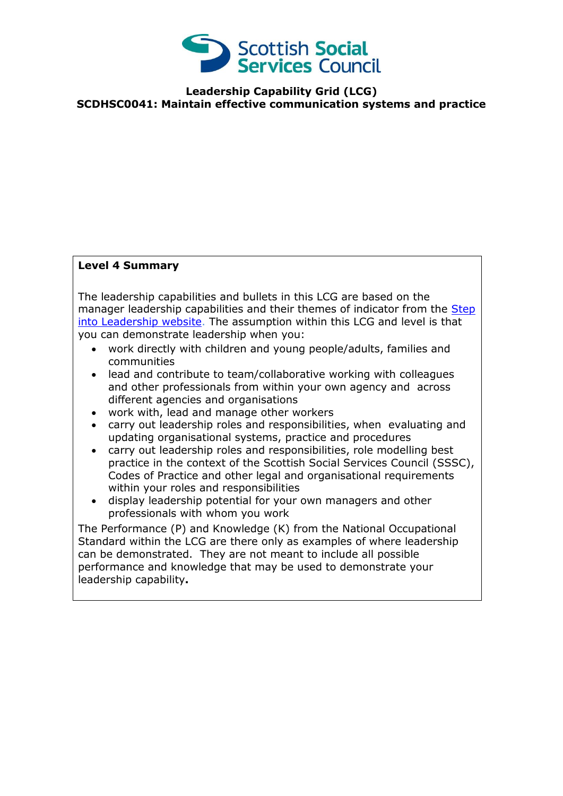

**Leadership Capability Grid (LCG) SCDHSC0041: Maintain effective communication systems and practice**

## **Level 4 Summary**

The leadership capabilities and bullets in this LCG are based on the manager leadership capabilities and their themes of indicator from the Step [into Leadership website.](http://www.stepintoleadership.info/) The assumption within this LCG and level is that you can demonstrate leadership when you:

- work directly with children and young people/adults, families and communities
- lead and contribute to team/collaborative working with colleagues and other professionals from within your own agency and across different agencies and organisations
- work with, lead and manage other workers
- carry out leadership roles and responsibilities, when evaluating and updating organisational systems, practice and procedures
- carry out leadership roles and responsibilities, role modelling best practice in the context of the Scottish Social Services Council (SSSC), Codes of Practice and other legal and organisational requirements within your roles and responsibilities
- display leadership potential for your own managers and other professionals with whom you work

The Performance (P) and Knowledge (K) from the National Occupational Standard within the LCG are there only as examples of where leadership can be demonstrated. They are not meant to include all possible performance and knowledge that may be used to demonstrate your leadership capability**.**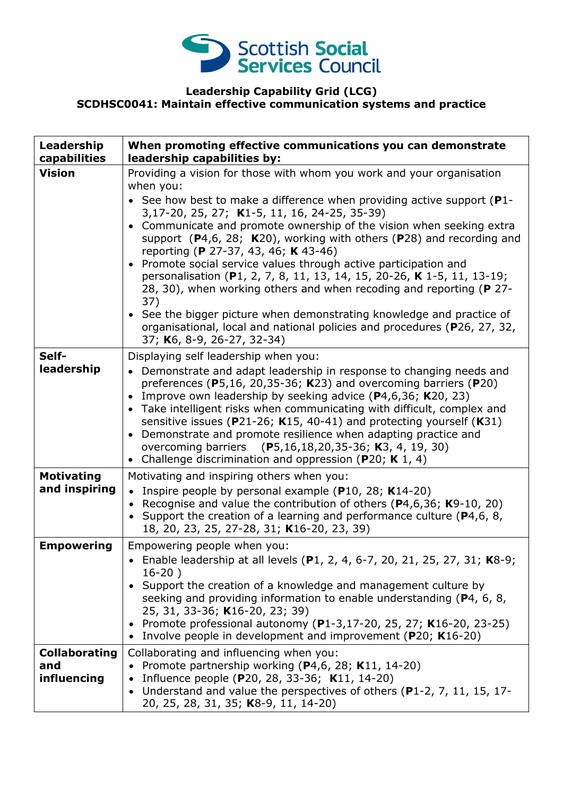

## **Leadership Capability Grid (LCG) SCDHSC0041: Maintain effective communication systems and practice**

| Leadership<br>capabilities                 | When promoting effective communications you can demonstrate<br>leadership capabilities by:                                                                                                                                                                                                                                                                                                                                                                                                                                                                                                                                                                                                                                                                                                                               |
|--------------------------------------------|--------------------------------------------------------------------------------------------------------------------------------------------------------------------------------------------------------------------------------------------------------------------------------------------------------------------------------------------------------------------------------------------------------------------------------------------------------------------------------------------------------------------------------------------------------------------------------------------------------------------------------------------------------------------------------------------------------------------------------------------------------------------------------------------------------------------------|
| <b>Vision</b>                              | Providing a vision for those with whom you work and your organisation<br>when you:<br>• See how best to make a difference when providing active support ( $P1$ -<br>3,17-20, 25, 27; K1-5, 11, 16, 24-25, 35-39)<br>Communicate and promote ownership of the vision when seeking extra<br>support $(P4,6, 28; K20)$ , working with others $(P28)$ and recording and<br>reporting (P 27-37, 43, 46; K 43-46)<br>Promote social service values through active participation and<br>personalisation (P1, 2, 7, 8, 11, 13, 14, 15, 20-26, K 1-5, 11, 13-19;<br>28, 30), when working others and when recoding and reporting (P 27-<br>37)<br>• See the bigger picture when demonstrating knowledge and practice of<br>organisational, local and national policies and procedures (P26, 27, 32,<br>37; K6, 8-9, 26-27, 32-34) |
| Self-<br>leadership                        | Displaying self leadership when you:<br>• Demonstrate and adapt leadership in response to changing needs and<br>preferences (P5,16, 20,35-36; K23) and overcoming barriers (P20)<br>Improve own leadership by seeking advice (P4,6,36; K20, 23)<br>$\bullet$<br>Take intelligent risks when communicating with difficult, complex and<br>$\bullet$<br>sensitive issues (P21-26; K15, 40-41) and protecting yourself (K31)<br>Demonstrate and promote resilience when adapting practice and<br>overcoming barriers (P5,16,18,20,35-36; K3, 4, 19, 30)<br>Challenge discrimination and oppression (P20; K 1, 4)<br>$\bullet$                                                                                                                                                                                               |
| <b>Motivating</b><br>and inspiring         | Motivating and inspiring others when you:<br>• Inspire people by personal example (P10, 28; K14-20)<br>• Recognise and value the contribution of others ( $P$ 4,6,36; K9-10, 20)<br>• Support the creation of a learning and performance culture ( $P4,6,8,$<br>18, 20, 23, 25, 27-28, 31; K16-20, 23, 39)                                                                                                                                                                                                                                                                                                                                                                                                                                                                                                               |
| <b>Empowering</b>                          | Empowering people when you:<br>• Enable leadership at all levels (P1, 2, 4, 6-7, 20, 21, 25, 27, 31; K8-9;<br>$16-20)$<br>• Support the creation of a knowledge and management culture by<br>seeking and providing information to enable understanding (P4, 6, 8,<br>25, 31, 33-36; K16-20, 23; 39)<br>Promote professional autonomy (P1-3,17-20, 25, 27; K16-20, 23-25)<br>• Involve people in development and improvement (P20; K16-20)                                                                                                                                                                                                                                                                                                                                                                                |
| <b>Collaborating</b><br>and<br>influencing | Collaborating and influencing when you:<br>• Promote partnership working ( $P4,6$ , 28; K11, 14-20)<br>• Influence people (P20, 28, 33-36; K11, 14-20)<br>Understand and value the perspectives of others (P1-2, 7, 11, 15, 17-<br>20, 25, 28, 31, 35; K8-9, 11, 14-20)                                                                                                                                                                                                                                                                                                                                                                                                                                                                                                                                                  |